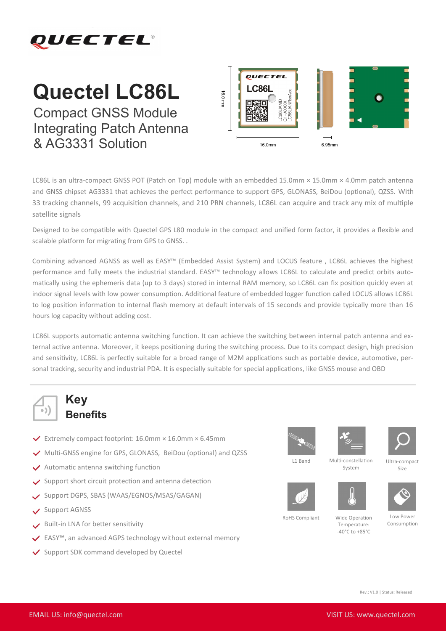

## **Quectel LC86L**

Compact GNSS Module Integrating Patch Antenna & AG3331 Solution



LC86L is an ultra-compact GNSS POT (Patch on Top) module with an embedded 15.0mm × 15.0mm × 4.0mm patch antenna and GNSS chipset AG3331 that achieves the perfect performance to support GPS, GLONASS, BeiDou (optional), QZSS. With 33 tracking channels, 99 acquisition channels, and 210 PRN channels, LC86L can acquire and track any mix of multiple satellite signals

Designed to be compatible with Quectel GPS L80 module in the compact and unified form factor, it provides a flexible and scalable platform for migrating from GPS to GNSS. .

Combining advanced AGNSS as well as EASY™ (Embedded Assist System) and LOCUS feature , LC86L achieves the highest performance and fully meets the industrial standard. EASY<sup>™</sup> technology allows LC86L to calculate and predict orbits automatically using the ephemeris data (up to 3 days) stored in internal RAM memory, so LC86L can fix position quickly even at indoor signal levels with low power consumption. Additional feature of embedded logger function called LOCUS allows LC86L to log position information to internal flash memory at default intervals of 15 seconds and provide typically more than 16 hours log capacity without adding cost.

LC86L supports automatic antenna switching function. It can achieve the switching between internal patch antenna and external active antenna. Moreover, it keeps positioning during the switching process. Due to its compact design, high precision and sensitivity, LC86L is perfectly suitable for a broad range of M2M applications such as portable device, automotive, personal tracking, security and industrial PDA. It is especially suitable for special applications, like GNSS mouse and OBD



## **Key Benefits**

- $\checkmark$  Extremely compact footprint: 16.0mm × 16.0mm × 6.45mm
- Multi-GNSS engine for GPS, GLONASS, BeiDou (optional) and QZSS
- $\vee$  Automatic antenna switching function
- $\vee$  Support short circuit protection and antenna detection
- Support DGPS, SBAS (WAAS/EGNOS/MSAS/GAGAN)
- Support AGNSS
- Built-in LNA for better sensitivity
- EASY™, an advanced AGPS technology without external memory
- ◆ Support SDK command developed by Quectel











Ultra-compact Size

L1 Band

Multi-constellation System





RoHS Compliant

Wide Operation Temperature:

 $-40^{\circ}$ C to  $+85^{\circ}$ C

Low Power Consumption

Rev.: V1.0 | Status: Released